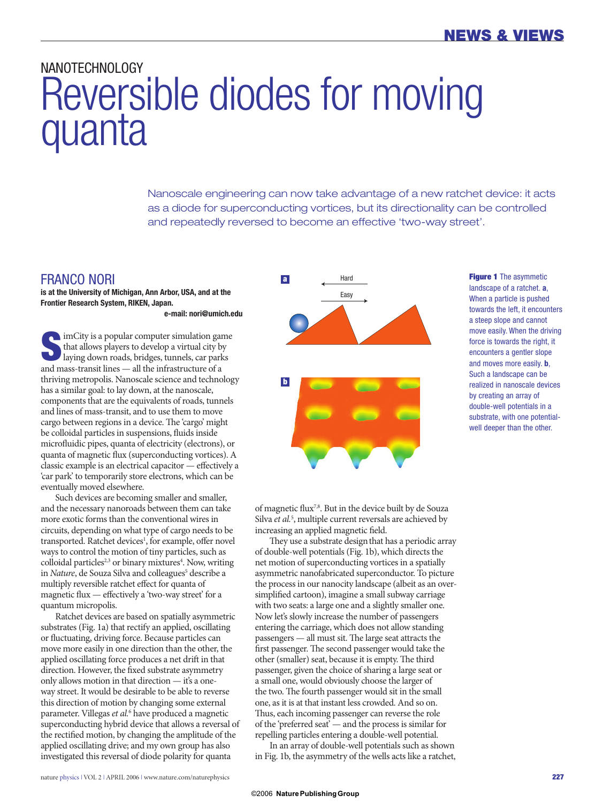## NANOTECHNOLOGY Reversible diodes for moving **quanta**

Nanoscale engineering can now take advantage of a new ratchet device: it acts as a diode for superconducting vortices, but its directionality can be controlled and repeatedly reversed to become an effective 'two-way street'.

## FRANCO NORI

**is at the University of Michigan, Ann Arbor, USA, and at the Frontier Research System, RIKEN, Japan.**

 **e-mail: nori@umich.edu**

**S**imCity is a popular computer simulation game that allows players to develop a virtual city by laying down roads, bridges, tunnels, car parks and mass-transit lines — all the infrastructure of a thriving metropolis. Nanoscale science and technology has a similar goal: to lay down, at the nanoscale, components that are the equivalents of roads, tunnels and lines of mass-transit, and to use them to move cargo between regions in a device. The 'cargo' might be colloidal particles in suspensions, fluids inside microfluidic pipes, quanta of electricity (electrons), or quanta of magnetic flux (superconducting vortices). A classic example is an electrical capacitor  $-$  effectively a 'car park' to temporarily store electrons, which can be eventually moved elsewhere.

Such devices are becoming smaller and smaller, and the necessary nanoroads between them can take more exotic forms than the conventional wires in circuits, depending on what type of cargo needs to be transported. Ratchet devices<sup>1</sup>, for example, offer novel ways to control the motion of tiny particles, such as colloidal particles<sup>2,3</sup> or binary mixtures<sup>4</sup>. Now, writing in *Nature*, de Souza Silva and colleagues<sup>5</sup> describe a multiply reversible ratchet effect for quanta of magnetic flux  $-$  effectively a 'two-way street' for a quantum micropolis.

Ratchet devices are based on spatially asymmetric substrates (Fig. 1a) that rectify an applied, oscillating or fluctuating, driving force. Because particles can move more easily in one direction than the other, the applied oscillating force produces a net drift in that direction. However, the fixed substrate asymmetry only allows motion in that direction — it's a oneway street. It would be desirable to be able to reverse this direction of motion by changing some external parameter. Villegas *et al.*<sup>6</sup> have produced a magnetic superconducting hybrid device that allows a reversal of the rectified motion, by changing the amplitude of the applied oscillating drive; and my own group has also investigated this reversal of diode polarity for quanta





**Figure 1** The asymmetic landscape of a ratchet. **a**, When a particle is pushed towards the left, it encounters a steep slope and cannot move easily. When the driving force is towards the right, it encounters a gentler slope and moves more easily. **b**, Such a landscape can be realized in nanoscale devices by creating an array of double-well potentials in a substrate, with one potentialwell deeper than the other.

of magnetic flux<sup>7,8</sup>. But in the device built by de Souza Silva *et al.*<sup>5</sup>, multiple current reversals are achieved by increasing an applied magnetic field.

They use a substrate design that has a periodic array of double-well potentials (Fig. 1b), which directs the net motion of superconducting vortices in a spatially asymmetric nanofabricated superconductor. To picture the process in our nanocity landscape (albeit as an oversimplified cartoon), imagine a small subway carriage with two seats: a large one and a slightly smaller one. Now let's slowly increase the number of passengers entering the carriage, which does not allow standing  $p$ assengers  $-$  all must sit. The large seat attracts the first passenger. The second passenger would take the other (smaller) seat, because it is empty. The third passenger, given the choice of sharing a large seat or a small one, would obviously choose the larger of the two. The fourth passenger would sit in the small one, as it is at that instant less crowded. And so on. Thus, each incoming passenger can reverse the role of the 'preferred seat' — and the process is similar for repelling particles entering a double-well potential.

In an array of double-well potentials such as shown in Fig. 1b, the asymmetry of the wells acts like a ratchet,